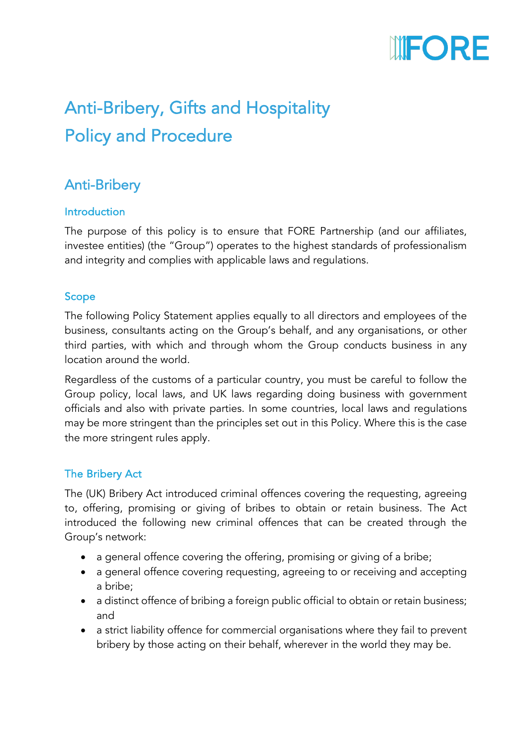

# Anti-Bribery, Gifts and Hospitality Policy and Procedure

## Anti-Bribery

## Introduction

The purpose of this policy is to ensure that FORE Partnership (and our affiliates, investee entities) (the "Group") operates to the highest standards of professionalism and integrity and complies with applicable laws and regulations.

## Scope

The following Policy Statement applies equally to all directors and employees of the business, consultants acting on the Group's behalf, and any organisations, or other third parties, with which and through whom the Group conducts business in any location around the world.

Regardless of the customs of a particular country, you must be careful to follow the Group policy, local laws, and UK laws regarding doing business with government officials and also with private parties. In some countries, local laws and regulations may be more stringent than the principles set out in this Policy. Where this is the case the more stringent rules apply.

### The Bribery Act

The (UK) Bribery Act introduced criminal offences covering the requesting, agreeing to, offering, promising or giving of bribes to obtain or retain business. The Act introduced the following new criminal offences that can be created through the Group's network:

- a general offence covering the offering, promising or giving of a bribe;
- a general offence covering requesting, agreeing to or receiving and accepting a bribe;
- a distinct offence of bribing a foreign public official to obtain or retain business; and
- a strict liability offence for commercial organisations where they fail to prevent bribery by those acting on their behalf, wherever in the world they may be.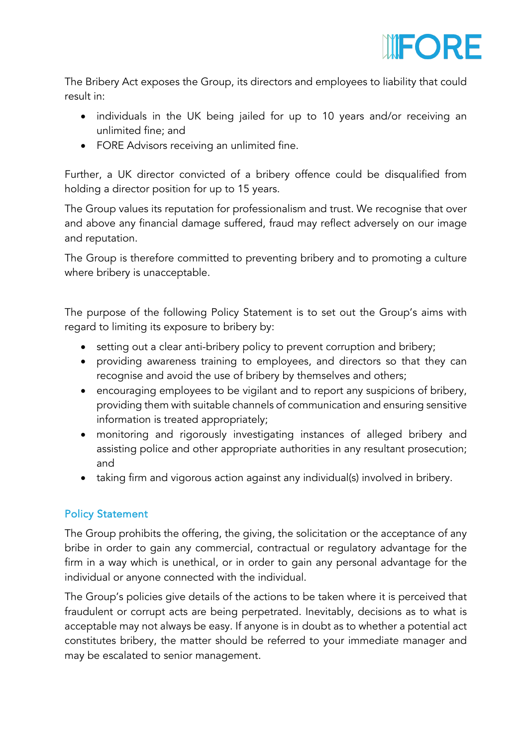

The Bribery Act exposes the Group, its directors and employees to liability that could result in:

- individuals in the UK being jailed for up to 10 years and/or receiving an unlimited fine; and
- FORE Advisors receiving an unlimited fine.

Further, a UK director convicted of a bribery offence could be disqualified from holding a director position for up to 15 years.

The Group values its reputation for professionalism and trust. We recognise that over and above any financial damage suffered, fraud may reflect adversely on our image and reputation.

The Group is therefore committed to preventing bribery and to promoting a culture where bribery is unacceptable.

The purpose of the following Policy Statement is to set out the Group's aims with regard to limiting its exposure to bribery by:

- setting out a clear anti-bribery policy to prevent corruption and bribery;
- providing awareness training to employees, and directors so that they can recognise and avoid the use of bribery by themselves and others;
- encouraging employees to be vigilant and to report any suspicions of bribery, providing them with suitable channels of communication and ensuring sensitive information is treated appropriately;
- monitoring and rigorously investigating instances of alleged bribery and assisting police and other appropriate authorities in any resultant prosecution; and
- taking firm and vigorous action against any individual(s) involved in bribery.

### Policy Statement

The Group prohibits the offering, the giving, the solicitation or the acceptance of any bribe in order to gain any commercial, contractual or regulatory advantage for the firm in a way which is unethical, or in order to gain any personal advantage for the individual or anyone connected with the individual.

The Group's policies give details of the actions to be taken where it is perceived that fraudulent or corrupt acts are being perpetrated. Inevitably, decisions as to what is acceptable may not always be easy. If anyone is in doubt as to whether a potential act constitutes bribery, the matter should be referred to your immediate manager and may be escalated to senior management.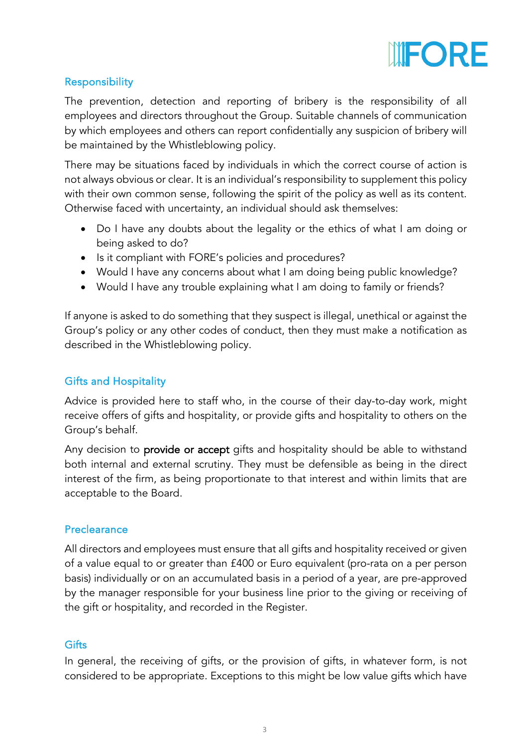

## Responsibility

The prevention, detection and reporting of bribery is the responsibility of all employees and directors throughout the Group. Suitable channels of communication by which employees and others can report confidentially any suspicion of bribery will be maintained by the Whistleblowing policy.

There may be situations faced by individuals in which the correct course of action is not always obvious or clear. It is an individual's responsibility to supplement this policy with their own common sense, following the spirit of the policy as well as its content. Otherwise faced with uncertainty, an individual should ask themselves:

- Do I have any doubts about the legality or the ethics of what I am doing or being asked to do?
- Is it compliant with FORE's policies and procedures?
- Would I have any concerns about what I am doing being public knowledge?
- Would I have any trouble explaining what I am doing to family or friends?

If anyone is asked to do something that they suspect is illegal, unethical or against the Group's policy or any other codes of conduct, then they must make a notification as described in the Whistleblowing policy.

## Gifts and Hospitality

Advice is provided here to staff who, in the course of their day-to-day work, might receive offers of gifts and hospitality, or provide gifts and hospitality to others on the Group's behalf.

Any decision to provide or accept gifts and hospitality should be able to withstand both internal and external scrutiny. They must be defensible as being in the direct interest of the firm, as being proportionate to that interest and within limits that are acceptable to the Board.

## **Preclearance**

All directors and employees must ensure that all gifts and hospitality received or given of a value equal to or greater than £400 or Euro equivalent (pro-rata on a per person basis) individually or on an accumulated basis in a period of a year, are pre-approved by the manager responsible for your business line prior to the giving or receiving of the gift or hospitality, and recorded in the Register.

## **Gifts**

In general, the receiving of gifts, or the provision of gifts, in whatever form, is not considered to be appropriate. Exceptions to this might be low value gifts which have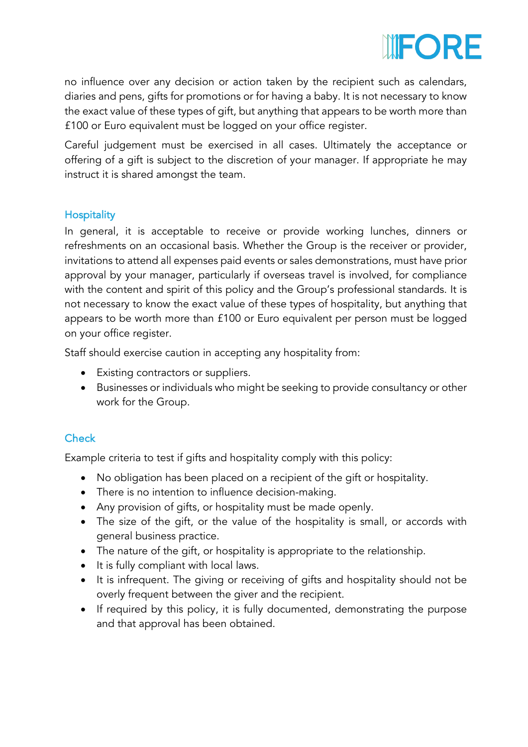

no influence over any decision or action taken by the recipient such as calendars, diaries and pens, gifts for promotions or for having a baby. It is not necessary to know the exact value of these types of gift, but anything that appears to be worth more than £100 or Euro equivalent must be logged on your office register.

Careful judgement must be exercised in all cases. Ultimately the acceptance or offering of a gift is subject to the discretion of your manager. If appropriate he may instruct it is shared amongst the team.

## **Hospitality**

In general, it is acceptable to receive or provide working lunches, dinners or refreshments on an occasional basis. Whether the Group is the receiver or provider, invitations to attend all expenses paid events or sales demonstrations, must have prior approval by your manager, particularly if overseas travel is involved, for compliance with the content and spirit of this policy and the Group's professional standards. It is not necessary to know the exact value of these types of hospitality, but anything that appears to be worth more than £100 or Euro equivalent per person must be logged on your office register.

Staff should exercise caution in accepting any hospitality from:

- Existing contractors or suppliers.
- Businesses or individuals who might be seeking to provide consultancy or other work for the Group.

## **Check**

Example criteria to test if gifts and hospitality comply with this policy:

- No obligation has been placed on a recipient of the gift or hospitality.
- There is no intention to influence decision-making.
- Any provision of gifts, or hospitality must be made openly.
- The size of the gift, or the value of the hospitality is small, or accords with general business practice.
- The nature of the gift, or hospitality is appropriate to the relationship.
- It is fully compliant with local laws.
- It is infrequent. The giving or receiving of gifts and hospitality should not be overly frequent between the giver and the recipient.
- If required by this policy, it is fully documented, demonstrating the purpose and that approval has been obtained.